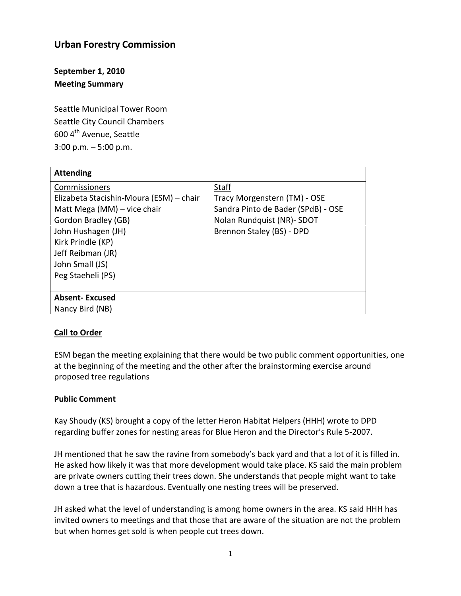# **Urban Forestry Commission**

**September 1, 2010 Meeting Summary**

Seattle Municipal Tower Room Seattle City Council Chambers 600 4th Avenue, Seattle 3:00 p.m. – 5:00 p.m.

| <b>Attending</b>                        |                                    |
|-----------------------------------------|------------------------------------|
| Commissioners                           | <b>Staff</b>                       |
| Elizabeta Stacishin-Moura (ESM) - chair | Tracy Morgenstern (TM) - OSE       |
| Matt Mega (MM) – vice chair             | Sandra Pinto de Bader (SPdB) - OSE |
| Gordon Bradley (GB)                     | Nolan Rundquist (NR)- SDOT         |
| John Hushagen (JH)                      | Brennon Staley (BS) - DPD          |
| Kirk Prindle (KP)                       |                                    |
| Jeff Reibman (JR)                       |                                    |
| John Small (JS)                         |                                    |
| Peg Staeheli (PS)                       |                                    |
|                                         |                                    |
| <b>Absent-Excused</b>                   |                                    |
| Nancy Bird (NB)                         |                                    |

#### **Call to Order**

ESM began the meeting explaining that there would be two public comment opportunities, one at the beginning of the meeting and the other after the brainstorming exercise around proposed tree regulations

#### **Public Comment**

Kay Shoudy (KS) brought a copy of the letter Heron Habitat Helpers (HHH) wrote to DPD regarding buffer zones for nesting areas for Blue Heron and the Director's Rule 5-2007.

JH mentioned that he saw the ravine from somebody's back yard and that a lot of it is filled in. He asked how likely it was that more development would take place. KS said the main problem are private owners cutting their trees down. She understands that people might want to take down a tree that is hazardous. Eventually one nesting trees will be preserved.

JH asked what the level of understanding is among home owners in the area. KS said HHH has invited owners to meetings and that those that are aware of the situation are not the problem but when homes get sold is when people cut trees down.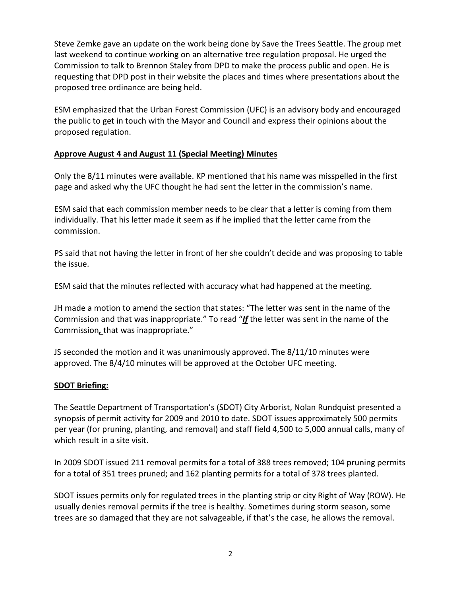Steve Zemke gave an update on the work being done by Save the Trees Seattle. The group met last weekend to continue working on an alternative tree regulation proposal. He urged the Commission to talk to Brennon Staley from DPD to make the process public and open. He is requesting that DPD post in their website the places and times where presentations about the proposed tree ordinance are being held.

ESM emphasized that the Urban Forest Commission (UFC) is an advisory body and encouraged the public to get in touch with the Mayor and Council and express their opinions about the proposed regulation.

## **Approve August 4 and August 11 (Special Meeting) Minutes**

Only the 8/11 minutes were available. KP mentioned that his name was misspelled in the first page and asked why the UFC thought he had sent the letter in the commission's name.

ESM said that each commission member needs to be clear that a letter is coming from them individually. That his letter made it seem as if he implied that the letter came from the commission.

PS said that not having the letter in front of her she couldn't decide and was proposing to table the issue.

ESM said that the minutes reflected with accuracy what had happened at the meeting.

JH made a motion to amend the section that states: "The letter was sent in the name of the Commission and that was inappropriate." To read "*If* the letter was sent in the name of the Commission*,* that was inappropriate."

JS seconded the motion and it was unanimously approved. The 8/11/10 minutes were approved. The 8/4/10 minutes will be approved at the October UFC meeting.

# **SDOT Briefing:**

The Seattle Department of Transportation's (SDOT) City Arborist, Nolan Rundquist presented a synopsis of permit activity for 2009 and 2010 to date. SDOT issues approximately 500 permits per year (for pruning, planting, and removal) and staff field 4,500 to 5,000 annual calls, many of which result in a site visit.

In 2009 SDOT issued 211 removal permits for a total of 388 trees removed; 104 pruning permits for a total of 351 trees pruned; and 162 planting permits for a total of 378 trees planted.

SDOT issues permits only for regulated trees in the planting strip or city Right of Way (ROW). He usually denies removal permits if the tree is healthy. Sometimes during storm season, some trees are so damaged that they are not salvageable, if that's the case, he allows the removal.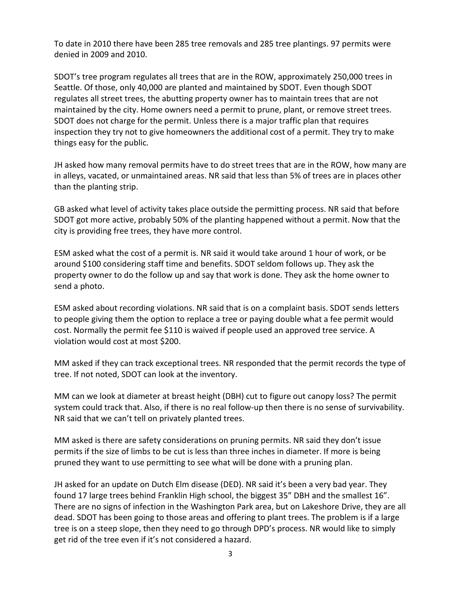To date in 2010 there have been 285 tree removals and 285 tree plantings. 97 permits were denied in 2009 and 2010.

SDOT's tree program regulates all trees that are in the ROW, approximately 250,000 trees in Seattle. Of those, only 40,000 are planted and maintained by SDOT. Even though SDOT regulates all street trees, the abutting property owner has to maintain trees that are not maintained by the city. Home owners need a permit to prune, plant, or remove street trees. SDOT does not charge for the permit. Unless there is a major traffic plan that requires inspection they try not to give homeowners the additional cost of a permit. They try to make things easy for the public.

JH asked how many removal permits have to do street trees that are in the ROW, how many are in alleys, vacated, or unmaintained areas. NR said that less than 5% of trees are in places other than the planting strip.

GB asked what level of activity takes place outside the permitting process. NR said that before SDOT got more active, probably 50% of the planting happened without a permit. Now that the city is providing free trees, they have more control.

ESM asked what the cost of a permit is. NR said it would take around 1 hour of work, or be around \$100 considering staff time and benefits. SDOT seldom follows up. They ask the property owner to do the follow up and say that work is done. They ask the home owner to send a photo.

ESM asked about recording violations. NR said that is on a complaint basis. SDOT sends letters to people giving them the option to replace a tree or paying double what a fee permit would cost. Normally the permit fee \$110 is waived if people used an approved tree service. A violation would cost at most \$200.

MM asked if they can track exceptional trees. NR responded that the permit records the type of tree. If not noted, SDOT can look at the inventory.

MM can we look at diameter at breast height (DBH) cut to figure out canopy loss? The permit system could track that. Also, if there is no real follow-up then there is no sense of survivability. NR said that we can't tell on privately planted trees.

MM asked is there are safety considerations on pruning permits. NR said they don't issue permits if the size of limbs to be cut is less than three inches in diameter. If more is being pruned they want to use permitting to see what will be done with a pruning plan.

JH asked for an update on Dutch Elm disease (DED). NR said it's been a very bad year. They found 17 large trees behind Franklin High school, the biggest 35" DBH and the smallest 16". There are no signs of infection in the Washington Park area, but on Lakeshore Drive, they are all dead. SDOT has been going to those areas and offering to plant trees. The problem is if a large tree is on a steep slope, then they need to go through DPD's process. NR would like to simply get rid of the tree even if it's not considered a hazard.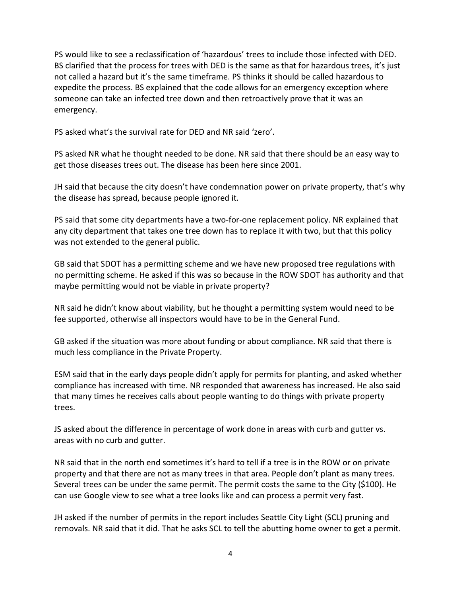PS would like to see a reclassification of 'hazardous' trees to include those infected with DED. BS clarified that the process for trees with DED is the same as that for hazardous trees, it's just not called a hazard but it's the same timeframe. PS thinks it should be called hazardous to expedite the process. BS explained that the code allows for an emergency exception where someone can take an infected tree down and then retroactively prove that it was an emergency.

PS asked what's the survival rate for DED and NR said 'zero'.

PS asked NR what he thought needed to be done. NR said that there should be an easy way to get those diseases trees out. The disease has been here since 2001.

JH said that because the city doesn't have condemnation power on private property, that's why the disease has spread, because people ignored it.

PS said that some city departments have a two-for-one replacement policy. NR explained that any city department that takes one tree down has to replace it with two, but that this policy was not extended to the general public.

GB said that SDOT has a permitting scheme and we have new proposed tree regulations with no permitting scheme. He asked if this was so because in the ROW SDOT has authority and that maybe permitting would not be viable in private property?

NR said he didn't know about viability, but he thought a permitting system would need to be fee supported, otherwise all inspectors would have to be in the General Fund.

GB asked if the situation was more about funding or about compliance. NR said that there is much less compliance in the Private Property.

ESM said that in the early days people didn't apply for permits for planting, and asked whether compliance has increased with time. NR responded that awareness has increased. He also said that many times he receives calls about people wanting to do things with private property trees.

JS asked about the difference in percentage of work done in areas with curb and gutter vs. areas with no curb and gutter.

NR said that in the north end sometimes it's hard to tell if a tree is in the ROW or on private property and that there are not as many trees in that area. People don't plant as many trees. Several trees can be under the same permit. The permit costs the same to the City (\$100). He can use Google view to see what a tree looks like and can process a permit very fast.

JH asked if the number of permits in the report includes Seattle City Light (SCL) pruning and removals. NR said that it did. That he asks SCL to tell the abutting home owner to get a permit.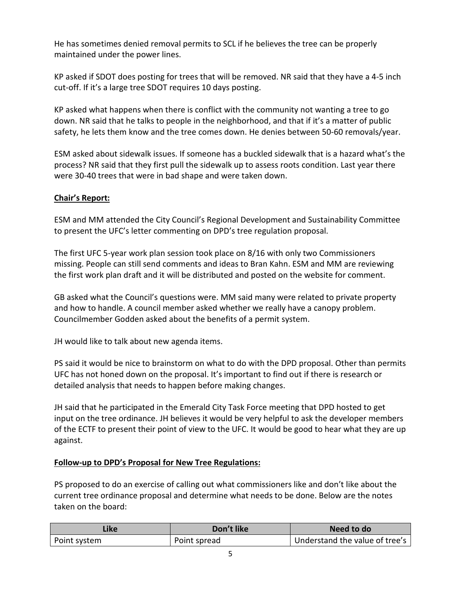He has sometimes denied removal permits to SCL if he believes the tree can be properly maintained under the power lines.

KP asked if SDOT does posting for trees that will be removed. NR said that they have a 4-5 inch cut-off. If it's a large tree SDOT requires 10 days posting.

KP asked what happens when there is conflict with the community not wanting a tree to go down. NR said that he talks to people in the neighborhood, and that if it's a matter of public safety, he lets them know and the tree comes down. He denies between 50-60 removals/year.

ESM asked about sidewalk issues. If someone has a buckled sidewalk that is a hazard what's the process? NR said that they first pull the sidewalk up to assess roots condition. Last year there were 30-40 trees that were in bad shape and were taken down.

# **Chair's Report:**

ESM and MM attended the City Council's Regional Development and Sustainability Committee to present the UFC's letter commenting on DPD's tree regulation proposal.

The first UFC 5-year work plan session took place on 8/16 with only two Commissioners missing. People can still send comments and ideas to Bran Kahn. ESM and MM are reviewing the first work plan draft and it will be distributed and posted on the website for comment.

GB asked what the Council's questions were. MM said many were related to private property and how to handle. A council member asked whether we really have a canopy problem. Councilmember Godden asked about the benefits of a permit system.

JH would like to talk about new agenda items.

PS said it would be nice to brainstorm on what to do with the DPD proposal. Other than permits UFC has not honed down on the proposal. It's important to find out if there is research or detailed analysis that needs to happen before making changes.

JH said that he participated in the Emerald City Task Force meeting that DPD hosted to get input on the tree ordinance. JH believes it would be very helpful to ask the developer members of the ECTF to present their point of view to the UFC. It would be good to hear what they are up against.

## **Follow-up to DPD's Proposal for New Tree Regulations:**

PS proposed to do an exercise of calling out what commissioners like and don't like about the current tree ordinance proposal and determine what needs to be done. Below are the notes taken on the board:

| Like         | Don't like   | Need to do                     |
|--------------|--------------|--------------------------------|
| Point system | Point spread | Understand the value of tree's |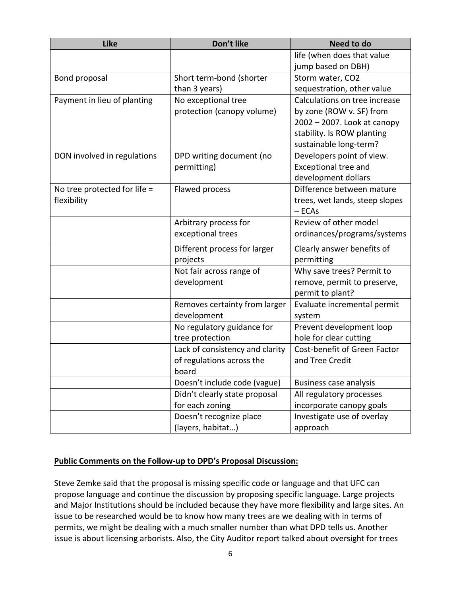| Like                           | Don't like                      | Need to do                     |
|--------------------------------|---------------------------------|--------------------------------|
|                                |                                 | life (when does that value     |
|                                |                                 | jump based on DBH)             |
| Bond proposal                  | Short term-bond (shorter        | Storm water, CO2               |
|                                | than 3 years)                   | sequestration, other value     |
| Payment in lieu of planting    | No exceptional tree             | Calculations on tree increase  |
|                                | protection (canopy volume)      | by zone (ROW v. SF) from       |
|                                |                                 | 2002 - 2007. Look at canopy    |
|                                |                                 | stability. Is ROW planting     |
|                                |                                 | sustainable long-term?         |
| DON involved in regulations    | DPD writing document (no        | Developers point of view.      |
|                                | permitting)                     | Exceptional tree and           |
|                                |                                 | development dollars            |
| No tree protected for life $=$ | Flawed process                  | Difference between mature      |
| flexibility                    |                                 | trees, wet lands, steep slopes |
|                                |                                 | $-$ ECAs                       |
|                                | Arbitrary process for           | Review of other model          |
|                                | exceptional trees               | ordinances/programs/systems    |
|                                | Different process for larger    | Clearly answer benefits of     |
|                                | projects                        | permitting                     |
|                                | Not fair across range of        | Why save trees? Permit to      |
|                                | development                     | remove, permit to preserve,    |
|                                |                                 | permit to plant?               |
|                                | Removes certainty from larger   | Evaluate incremental permit    |
|                                | development                     | system                         |
|                                | No regulatory guidance for      | Prevent development loop       |
|                                | tree protection                 | hole for clear cutting         |
|                                | Lack of consistency and clarity | Cost-benefit of Green Factor   |
|                                | of regulations across the       | and Tree Credit                |
|                                | board                           |                                |
|                                | Doesn't include code (vague)    | <b>Business case analysis</b>  |
|                                | Didn't clearly state proposal   | All regulatory processes       |
|                                | for each zoning                 | incorporate canopy goals       |
|                                | Doesn't recognize place         | Investigate use of overlay     |
|                                | (layers, habitat)               | approach                       |

# **Public Comments on the Follow-up to DPD's Proposal Discussion:**

Steve Zemke said that the proposal is missing specific code or language and that UFC can propose language and continue the discussion by proposing specific language. Large projects and Major Institutions should be included because they have more flexibility and large sites. An issue to be researched would be to know how many trees are we dealing with in terms of permits, we might be dealing with a much smaller number than what DPD tells us. Another issue is about licensing arborists. Also, the City Auditor report talked about oversight for trees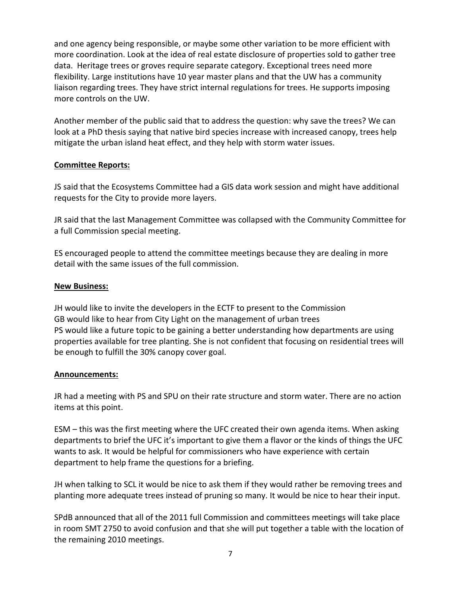and one agency being responsible, or maybe some other variation to be more efficient with more coordination. Look at the idea of real estate disclosure of properties sold to gather tree data. Heritage trees or groves require separate category. Exceptional trees need more flexibility. Large institutions have 10 year master plans and that the UW has a community liaison regarding trees. They have strict internal regulations for trees. He supports imposing more controls on the UW.

Another member of the public said that to address the question: why save the trees? We can look at a PhD thesis saying that native bird species increase with increased canopy, trees help mitigate the urban island heat effect, and they help with storm water issues.

#### **Committee Reports:**

JS said that the Ecosystems Committee had a GIS data work session and might have additional requests for the City to provide more layers.

JR said that the last Management Committee was collapsed with the Community Committee for a full Commission special meeting.

ES encouraged people to attend the committee meetings because they are dealing in more detail with the same issues of the full commission.

#### **New Business:**

JH would like to invite the developers in the ECTF to present to the Commission GB would like to hear from City Light on the management of urban trees PS would like a future topic to be gaining a better understanding how departments are using properties available for tree planting. She is not confident that focusing on residential trees will be enough to fulfill the 30% canopy cover goal.

## **Announcements:**

JR had a meeting with PS and SPU on their rate structure and storm water. There are no action items at this point.

ESM – this was the first meeting where the UFC created their own agenda items. When asking departments to brief the UFC it's important to give them a flavor or the kinds of things the UFC wants to ask. It would be helpful for commissioners who have experience with certain department to help frame the questions for a briefing.

JH when talking to SCL it would be nice to ask them if they would rather be removing trees and planting more adequate trees instead of pruning so many. It would be nice to hear their input.

SPdB announced that all of the 2011 full Commission and committees meetings will take place in room SMT 2750 to avoid confusion and that she will put together a table with the location of the remaining 2010 meetings.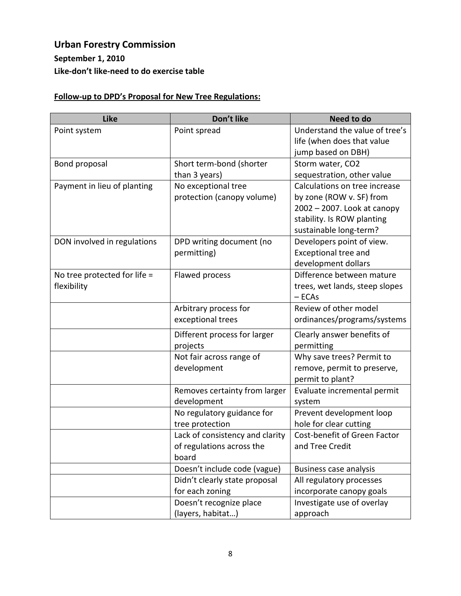# **Urban Forestry Commission September 1, 2010 Like-don't like-need to do exercise table**

# **Follow-up to DPD's Proposal for New Tree Regulations:**

| <b>Like</b>                  | Don't like                      | Need to do                     |
|------------------------------|---------------------------------|--------------------------------|
| Point system                 | Point spread                    | Understand the value of tree's |
|                              |                                 | life (when does that value     |
|                              |                                 | jump based on DBH)             |
| Bond proposal                | Short term-bond (shorter        | Storm water, CO2               |
|                              | than 3 years)                   | sequestration, other value     |
| Payment in lieu of planting  | No exceptional tree             | Calculations on tree increase  |
|                              | protection (canopy volume)      | by zone (ROW v. SF) from       |
|                              |                                 | 2002 - 2007. Look at canopy    |
|                              |                                 | stability. Is ROW planting     |
|                              |                                 | sustainable long-term?         |
| DON involved in regulations  | DPD writing document (no        | Developers point of view.      |
|                              | permitting)                     | <b>Exceptional tree and</b>    |
|                              |                                 | development dollars            |
| No tree protected for life = | <b>Flawed process</b>           | Difference between mature      |
| flexibility                  |                                 | trees, wet lands, steep slopes |
|                              |                                 | $-$ ECAs                       |
|                              | Arbitrary process for           | Review of other model          |
|                              | exceptional trees               | ordinances/programs/systems    |
|                              | Different process for larger    | Clearly answer benefits of     |
|                              | projects                        | permitting                     |
|                              | Not fair across range of        | Why save trees? Permit to      |
|                              | development                     | remove, permit to preserve,    |
|                              |                                 | permit to plant?               |
|                              | Removes certainty from larger   | Evaluate incremental permit    |
|                              | development                     | system                         |
|                              | No regulatory guidance for      | Prevent development loop       |
|                              | tree protection                 | hole for clear cutting         |
|                              | Lack of consistency and clarity | Cost-benefit of Green Factor   |
|                              | of regulations across the       | and Tree Credit                |
|                              | board                           |                                |
|                              | Doesn't include code (vague)    | <b>Business case analysis</b>  |
|                              | Didn't clearly state proposal   | All regulatory processes       |
|                              | for each zoning                 | incorporate canopy goals       |
|                              | Doesn't recognize place         | Investigate use of overlay     |
|                              | (layers, habitat)               | approach                       |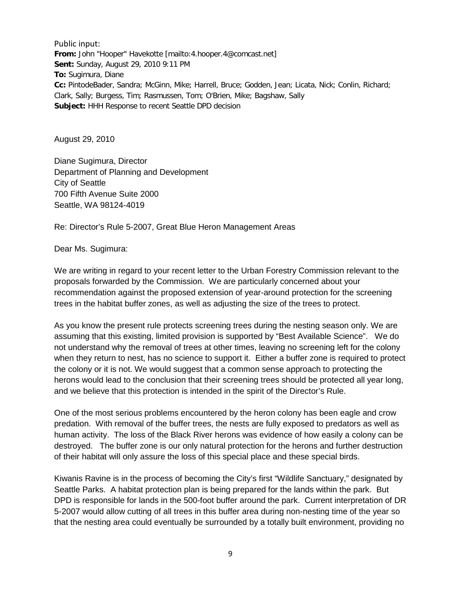Public input: **From:** John "Hooper" Havekotte [mailto:4.hooper.4@comcast.net] **Sent:** Sunday, August 29, 2010 9:11 PM **To:** Sugimura, Diane **Cc:** PintodeBader, Sandra; McGinn, Mike; Harrell, Bruce; Godden, Jean; Licata, Nick; Conlin, Richard; Clark, Sally; Burgess, Tim; Rasmussen, Tom; O'Brien, Mike; Bagshaw, Sally **Subject:** HHH Response to recent Seattle DPD decision

August 29, 2010

Diane Sugimura, Director Department of Planning and Development City of Seattle 700 Fifth Avenue Suite 2000 Seattle, WA 98124-4019

Re: Director's Rule 5-2007, Great Blue Heron Management Areas

Dear Ms. Sugimura:

We are writing in regard to your recent letter to the Urban Forestry Commission relevant to the proposals forwarded by the Commission. We are particularly concerned about your recommendation against the proposed extension of year-around protection for the screening trees in the habitat buffer zones, as well as adjusting the size of the trees to protect.

As you know the present rule protects screening trees during the nesting season only. We are assuming that this existing, limited provision is supported by "Best Available Science". We do not understand why the removal of trees at other times, leaving no screening left for the colony when they return to nest, has no science to support it. Either a buffer zone is required to protect the colony or it is not. We would suggest that a common sense approach to protecting the herons would lead to the conclusion that their screening trees should be protected all year long, and we believe that this protection is intended in the spirit of the Director's Rule.

One of the most serious problems encountered by the heron colony has been eagle and crow predation. With removal of the buffer trees, the nests are fully exposed to predators as well as human activity. The loss of the Black River herons was evidence of how easily a colony can be destroyed. The buffer zone is our only natural protection for the herons and further destruction of their habitat will only assure the loss of this special place and these special birds.

Kiwanis Ravine is in the process of becoming the City's first "Wildlife Sanctuary," designated by Seattle Parks. A habitat protection plan is being prepared for the lands within the park. But DPD is responsible for lands in the 500-foot buffer around the park. Current interpretation of DR 5-2007 would allow cutting of all trees in this buffer area during non-nesting time of the year so that the nesting area could eventually be surrounded by a totally built environment, providing no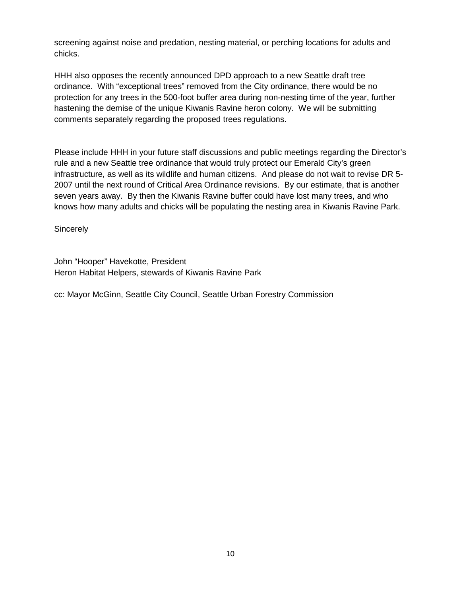screening against noise and predation, nesting material, or perching locations for adults and chicks.

HHH also opposes the recently announced DPD approach to a new Seattle draft tree ordinance. With "exceptional trees" removed from the City ordinance, there would be no protection for any trees in the 500-foot buffer area during non-nesting time of the year, further hastening the demise of the unique Kiwanis Ravine heron colony. We will be submitting comments separately regarding the proposed trees regulations.

Please include HHH in your future staff discussions and public meetings regarding the Director's rule and a new Seattle tree ordinance that would truly protect our Emerald City's green infrastructure, as well as its wildlife and human citizens. And please do not wait to revise DR 5- 2007 until the next round of Critical Area Ordinance revisions. By our estimate, that is another seven years away. By then the Kiwanis Ravine buffer could have lost many trees, and who knows how many adults and chicks will be populating the nesting area in Kiwanis Ravine Park.

**Sincerely** 

John "Hooper" Havekotte, President Heron Habitat Helpers, stewards of Kiwanis Ravine Park

cc: Mayor McGinn, Seattle City Council, Seattle Urban Forestry Commission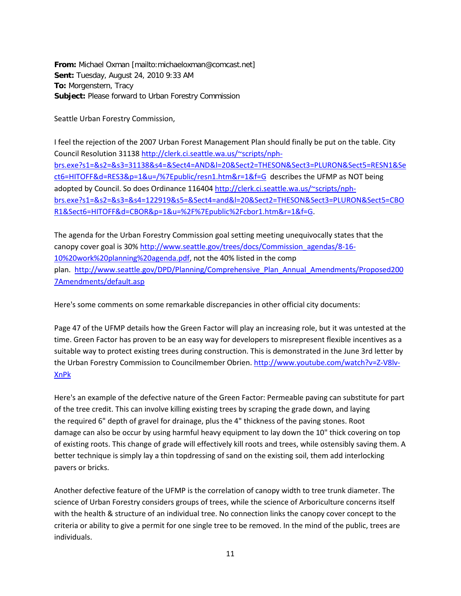**From:** Michael Oxman [mailto:michaeloxman@comcast.net] **Sent:** Tuesday, August 24, 2010 9:33 AM **To:** Morgenstern, Tracy **Subject:** Please forward to Urban Forestry Commission

Seattle Urban Forestry Commission,

I feel the rejection of the 2007 Urban Forest Management Plan should finally be put on the table. City Council Resolution 31138 [http://clerk.ci.seattle.wa.us/~scripts/nph](http://clerk.ci.seattle.wa.us/~scripts/nph-brs.exe?s1=&s2=&s3=31138&s4=&Sect4=AND&l=20&Sect2=THESON&Sect3=PLURON&Sect5=RESN1&Sect6=HITOFF&d=RES3&p=1&u=/%7Epublic/resn1.htm&r=1&f=G)[brs.exe?s1=&s2=&s3=31138&s4=&Sect4=AND&l=20&Sect2=THESON&Sect3=PLURON&Sect5=RESN1&Se](http://clerk.ci.seattle.wa.us/~scripts/nph-brs.exe?s1=&s2=&s3=31138&s4=&Sect4=AND&l=20&Sect2=THESON&Sect3=PLURON&Sect5=RESN1&Sect6=HITOFF&d=RES3&p=1&u=/%7Epublic/resn1.htm&r=1&f=G) [ct6=HITOFF&d=RES3&p=1&u=/%7Epublic/resn1.htm&r=1&f=G](http://clerk.ci.seattle.wa.us/~scripts/nph-brs.exe?s1=&s2=&s3=31138&s4=&Sect4=AND&l=20&Sect2=THESON&Sect3=PLURON&Sect5=RESN1&Sect6=HITOFF&d=RES3&p=1&u=/%7Epublic/resn1.htm&r=1&f=G) describes the UFMP as NOT being adopted by Council. So does Ordinance 11640[4 http://clerk.ci.seattle.wa.us/~scripts/nph](http://clerk.ci.seattle.wa.us/~scripts/nph-brs.exe?s1=&s2=&s3=&s4=122919&s5=&Sect4=and&l=20&Sect2=THESON&Sect3=PLURON&Sect5=CBOR1&Sect6=HITOFF&d=CBOR&p=1&u=%2F%7Epublic%2Fcbor1.htm&r=1&f=G)[brs.exe?s1=&s2=&s3=&s4=122919&s5=&Sect4=and&l=20&Sect2=THESON&Sect3=PLURON&Sect5=CBO](http://clerk.ci.seattle.wa.us/~scripts/nph-brs.exe?s1=&s2=&s3=&s4=122919&s5=&Sect4=and&l=20&Sect2=THESON&Sect3=PLURON&Sect5=CBOR1&Sect6=HITOFF&d=CBOR&p=1&u=%2F%7Epublic%2Fcbor1.htm&r=1&f=G) [R1&Sect6=HITOFF&d=CBOR&p=1&u=%2F%7Epublic%2Fcbor1.htm&r=1&f=G.](http://clerk.ci.seattle.wa.us/~scripts/nph-brs.exe?s1=&s2=&s3=&s4=122919&s5=&Sect4=and&l=20&Sect2=THESON&Sect3=PLURON&Sect5=CBOR1&Sect6=HITOFF&d=CBOR&p=1&u=%2F%7Epublic%2Fcbor1.htm&r=1&f=G)

The agenda for the Urban Forestry Commission goal setting meeting unequivocally states that the canopy cover goal is 30% [http://www.seattle.gov/trees/docs/Commission\\_agendas/8-16-](http://www.seattle.gov/trees/docs/Commission_agendas/8-16-10%20work%20planning%20agenda.pdf) [10%20work%20planning%20agenda.pdf,](http://www.seattle.gov/trees/docs/Commission_agendas/8-16-10%20work%20planning%20agenda.pdf) not the 40% listed in the comp plan. [http://www.seattle.gov/DPD/Planning/Comprehensive\\_Plan\\_Annual\\_Amendments/Proposed200](http://www.seattle.gov/DPD/Planning/Comprehensive_Plan_Annual_Amendments/Proposed2007Amendments/default.asp) [7Amendments/default.asp](http://www.seattle.gov/DPD/Planning/Comprehensive_Plan_Annual_Amendments/Proposed2007Amendments/default.asp)

Here's some comments on some remarkable discrepancies in other official city documents:

Page 47 of the UFMP details how the Green Factor will play an increasing role, but it was untested at the time. Green Factor has proven to be an easy way for developers to misrepresent flexible incentives as a suitable way to protect existing trees during construction. This is demonstrated in the June 3rd letter by the Urban Forestry Commission to Councilmember Obrien. [http://www.youtube.com/watch?v=Z-V8lv-](http://www.youtube.com/watch?v=Z-V8lv-XnPk)[XnPk](http://www.youtube.com/watch?v=Z-V8lv-XnPk)

Here's an example of the defective nature of the Green Factor: Permeable paving can substitute for part of the tree credit. This can involve killing existing trees by scraping the grade down, and laying the required 6" depth of gravel for drainage, plus the 4" thickness of the paving stones. Root damage can also be occur by using harmful heavy equipment to lay down the 10" thick covering on top of existing roots. This change of grade will effectively kill roots and trees, while ostensibly saving them. A better technique is simply lay a thin topdressing of sand on the existing soil, them add interlocking pavers or bricks.

Another defective feature of the UFMP is the correlation of canopy width to tree trunk diameter. The science of Urban Forestry considers groups of trees, while the science of Arboriculture concerns itself with the health & structure of an individual tree. No connection links the canopy cover concept to the criteria or ability to give a permit for one single tree to be removed. In the mind of the public, trees are individuals.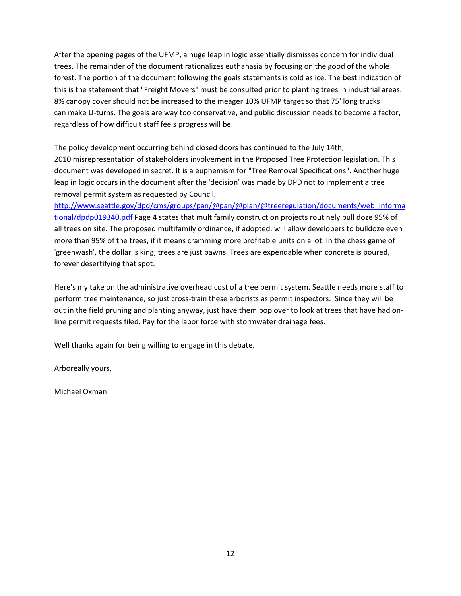After the opening pages of the UFMP, a huge leap in logic essentially dismisses concern for individual trees. The remainder of the document rationalizes euthanasia by focusing on the good of the whole forest. The portion of the document following the goals statements is cold as ice. The best indication of this is the statement that "Freight Movers" must be consulted prior to planting trees in industrial areas. 8% canopy cover should not be increased to the meager 10% UFMP target so that 75' long trucks can make U-turns. The goals are way too conservative, and public discussion needs to become a factor, regardless of how difficult staff feels progress will be.

The policy development occurring behind closed doors has continued to the July 14th, 2010 misrepresentation of stakeholders involvement in the Proposed Tree Protection legislation. This document was developed in secret. It is a euphemism for "Tree Removal Specifications". Another huge leap in logic occurs in the document after the 'decision' was made by DPD not to implement a tree removal permit system as requested by Council.

[http://www.seattle.gov/dpd/cms/groups/pan/@pan/@plan/@treeregulation/documents/web\\_informa](http://www.seattle.gov/dpd/cms/groups/pan/@pan/@plan/@treeregulation/documents/web_informational/dpdp019340.pdf) [tional/dpdp019340.pdf](http://www.seattle.gov/dpd/cms/groups/pan/@pan/@plan/@treeregulation/documents/web_informational/dpdp019340.pdf) Page 4 states that multifamily construction projects routinely bull doze 95% of all trees on site. The proposed multifamily ordinance, if adopted, will allow developers to bulldoze even more than 95% of the trees, if it means cramming more profitable units on a lot. In the chess game of 'greenwash', the dollar is king; trees are just pawns. Trees are expendable when concrete is poured, forever desertifying that spot.

Here's my take on the administrative overhead cost of a tree permit system. Seattle needs more staff to perform tree maintenance, so just cross-train these arborists as permit inspectors. Since they will be out in the field pruning and planting anyway, just have them bop over to look at trees that have had online permit requests filed. Pay for the labor force with stormwater drainage fees.

Well thanks again for being willing to engage in this debate.

Arboreally yours,

Michael Oxman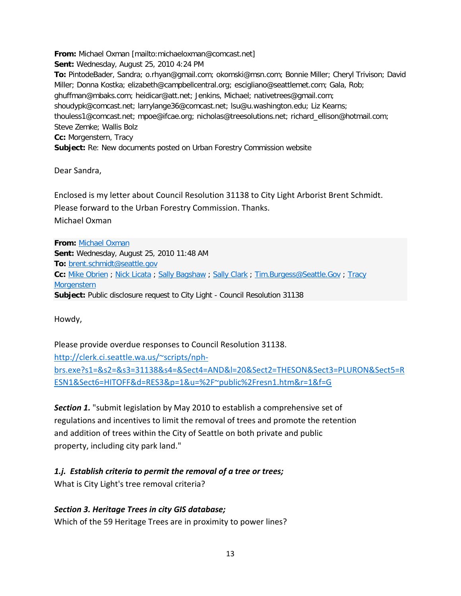**From:** Michael Oxman [mailto:michaeloxman@comcast.net] **Sent:** Wednesday, August 25, 2010 4:24 PM **To:** PintodeBader, Sandra; o.rhyan@gmail.com; okomski@msn.com; Bonnie Miller; Cheryl Trivison; David Miller; Donna Kostka; elizabeth@campbellcentral.org; escigliano@seattlemet.com; Gala, Rob; ghuffman@mbaks.com; heidicar@att.net; Jenkins, Michael; nativetrees@gmail.com; shoudypk@comcast.net; larrylange36@comcast.net; lsu@u.washington.edu; Liz Kearns; thouless1@comcast.net; mpoe@ifcae.org; nicholas@treesolutions.net; richard\_ellison@hotmail.com; Steve Zemke; Wallis Bolz **Cc:** Morgenstern, Tracy **Subject:** Re: New documents posted on Urban Forestry Commission website

Dear Sandra,

Enclosed is my letter about Council Resolution 31138 to City Light Arborist Brent Schmidt. Please forward to the Urban Forestry Commission. Thanks. Michael Oxman

**From:** [Michael Oxman](wlmailhtml:%7b7B23F0B4-38CC-4D30-9FD2-157876F27614%7dmid://00000299/!x-usc:mailto:michaeloxman@comcast.net) **Sent:** Wednesday, August 25, 2010 11:48 AM **To:** [brent.schmidt@seattle.gov](wlmailhtml:%7b7B23F0B4-38CC-4D30-9FD2-157876F27614%7dmid://00000299/!x-usc:mailto:brent.schmidt@seattle.gov) **Cc:** [Mike Obrien](wlmailhtml:%7b7B23F0B4-38CC-4D30-9FD2-157876F27614%7dmid://00000299/!x-usc:mailto:mike.obrien@seattle.gov) ; [Nick Licata](wlmailhtml:%7b7B23F0B4-38CC-4D30-9FD2-157876F27614%7dmid://00000299/!x-usc:mailto:Nick.Licata@seattle.gov) ; [Sally Bagshaw](wlmailhtml:%7b7B23F0B4-38CC-4D30-9FD2-157876F27614%7dmid://00000299/!x-usc:mailto:sally.bagshaw@seattle.gov) ; [Sally Clark](wlmailhtml:%7b7B23F0B4-38CC-4D30-9FD2-157876F27614%7dmid://00000299/!x-usc:mailto:sally.clark@seattle.gov) ; [Tim.Burgess@Seattle.Gov](wlmailhtml:%7b7B23F0B4-38CC-4D30-9FD2-157876F27614%7dmid://00000299/!x-usc:mailto:Tim.Burgess@Seattle.Gov) ; Tracy **[Morgenstern](wlmailhtml:%7b7B23F0B4-38CC-4D30-9FD2-157876F27614%7dmid://00000299/!x-usc:mailto:Tracy.Morgenstern@seattle.gov) Subject:** Public disclosure request to City Light - Council Resolution 31138

Howdy,

Please provide overdue responses to Council Resolution 31138. [http://clerk.ci.seattle.wa.us/~scripts/nph](wlmailhtml:%7b7B23F0B4-38CC-4D30-9FD2-157876F27614%7dmid://00000299/!x-usc:http://clerk.ci.seattle.wa.us/~scripts/nph-brs.exe?s1=&s2=&s3=31138&s4=&Sect4=AND&l=20&Sect2=THESON&Sect3=PLURON&Sect5=RESN1&Sect6=HITOFF&d=RES3&p=1&u=%2F~public%2Fresn1.htm&r=1&f=G)[brs.exe?s1=&s2=&s3=31138&s4=&Sect4=AND&l=20&Sect2=THESON&Sect3=PLURON&Sect5=R](wlmailhtml:%7b7B23F0B4-38CC-4D30-9FD2-157876F27614%7dmid://00000299/!x-usc:http://clerk.ci.seattle.wa.us/~scripts/nph-brs.exe?s1=&s2=&s3=31138&s4=&Sect4=AND&l=20&Sect2=THESON&Sect3=PLURON&Sect5=RESN1&Sect6=HITOFF&d=RES3&p=1&u=%2F~public%2Fresn1.htm&r=1&f=G) [ESN1&Sect6=HITOFF&d=RES3&p=1&u=%2F~public%2Fresn1.htm&r=1&f=G](wlmailhtml:%7b7B23F0B4-38CC-4D30-9FD2-157876F27614%7dmid://00000299/!x-usc:http://clerk.ci.seattle.wa.us/~scripts/nph-brs.exe?s1=&s2=&s3=31138&s4=&Sect4=AND&l=20&Sect2=THESON&Sect3=PLURON&Sect5=RESN1&Sect6=HITOFF&d=RES3&p=1&u=%2F~public%2Fresn1.htm&r=1&f=G)

*Section 1.* "submit legislation by May 2010 to establish a comprehensive set of regulations and incentives to limit the removal of trees and promote the retention and addition of trees within the City of Seattle on both private and public property, including city park land."

## *1.j. Establish criteria to permit the removal of a tree or trees;*

What is City Light's tree removal criteria?

## *Section 3. Heritage Trees in city GIS database;*

Which of the 59 Heritage Trees are in proximity to power lines?